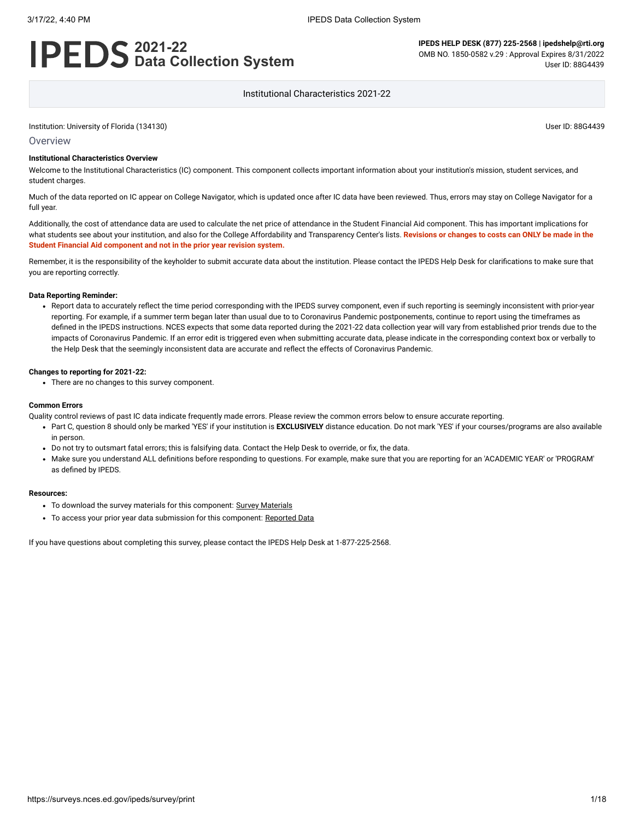#### 3/17/22, 4:40 PM IPEDS Data Collection System

# **2021-22 Data Collection System**

**IPEDS HELP DESK (877) 225-2568 | ipedshelp@rti.org** OMB NO. 1850-0582 v.29 : Approval Expires 8/31/2022 User ID: 88G4439

Institutional Characteristics 2021-22

Institution: University of Florida (134130) User ID: 88G4439

#### **Overview**

#### **Institutional Characteristics Overview**

Welcome to the Institutional Characteristics (IC) component. This component collects important information about your institution's mission, student services, and student charges.

Much of the data reported on IC appear on College Navigator, which is updated once after IC data have been reviewed. Thus, errors may stay on College Navigator for a full year.

Additionally, the cost of attendance data are used to calculate the net price of attendance in the Student Financial Aid component. This has important implications for what students see about your institution, and also for the College Affordability and Transparency Center's lists. **Revisions or changes to costs can ONLY be made in the Student Financial Aid component and not in the prior year revision system.**

Remember, it is the responsibility of the keyholder to submit accurate data about the institution. Please contact the IPEDS Help Desk for clarifications to make sure that you are reporting correctly.

#### **Data Reporting Reminder:**

• Report data to accurately reflect the time period corresponding with the IPEDS survey component, even if such reporting is seemingly inconsistent with prior-year reporting. For example, if a summer term began later than usual due to to Coronavirus Pandemic postponements, continue to report using the timeframes as defined in the IPEDS instructions. NCES expects that some data reported during the 2021-22 data collection year will vary from established prior trends due to the impacts of Coronavirus Pandemic. If an error edit is triggered even when submitting accurate data, please indicate in the corresponding context box or verbally to the Help Desk that the seemingly inconsistent data are accurate and reflect the effects of Coronavirus Pandemic.

#### **Changes to reporting for 2021-22:**

There are no changes to this survey component.

#### **Common Errors**

Quality control reviews of past IC data indicate frequently made errors. Please review the common errors below to ensure accurate reporting.

- Part C, question 8 should only be marked 'YES' if your institution is **EXCLUSIVELY** distance education. Do not mark 'YES' if your courses/programs are also available in person.
- Do not try to outsmart fatal errors; this is falsifying data. Contact the Help Desk to override, or fix, the data.
- Make sure you understand ALL definitions before responding to questions. For example, make sure that you are reporting for an 'ACADEMIC YEAR' or 'PROGRAM' as defined by IPEDS.

#### **Resources:**

- To download the survey materials for this component: Survey [Materials](https://surveys.nces.ed.gov/ipeds/public/survey-materials/index)
- To access your prior year data submission for this component: [Reported Data](javascript:openReportedData(134130, 11))

If you have questions about completing this survey, please contact the IPEDS Help Desk at 1-877-225-2568.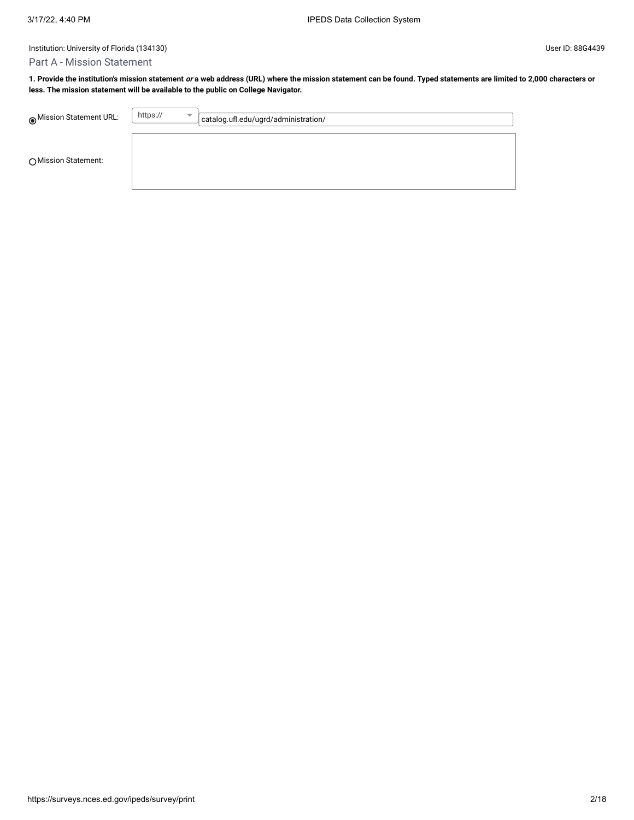# Part A - Mission Statement

**1. Provide the institution's mission statement or a web address (URL) where the mission statement can be found. Typed statements are limited to 2,000 characters or less. The mission statement will be available to the public on College Navigator.**

| Mission Statement URL: | https://<br>$\overline{\phantom{a}}$ | catalog.ufl.edu/ugrd/administration/ |
|------------------------|--------------------------------------|--------------------------------------|
| ◯ Mission Statement:   |                                      |                                      |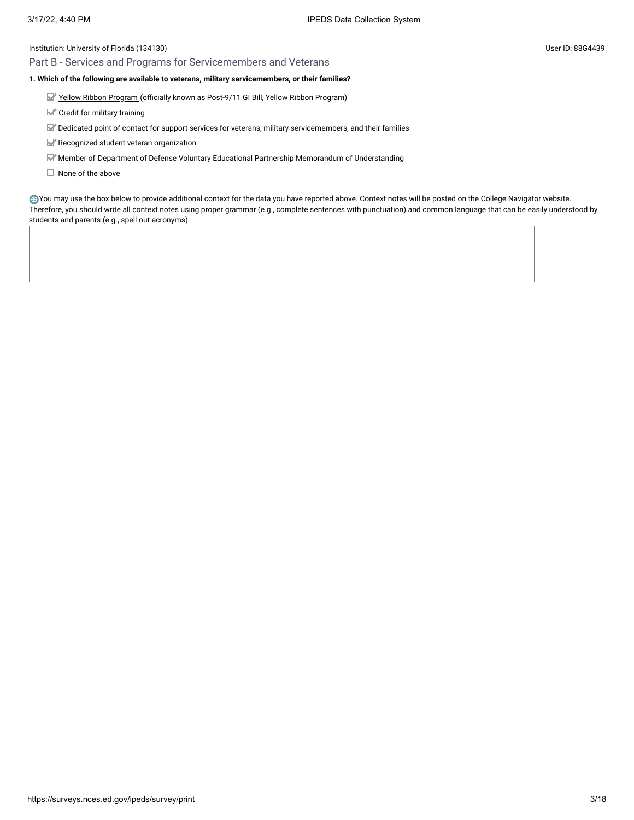# Part B - Services and Programs for Servicemembers and Veterans

# **1. Which of the following are available to veterans, military servicemembers, or their families?**

- Yellow [Ribbon Program \(](javascript:openglossary(1044))officially known as Post-9/11 GI Bill, Yellow Ribbon Program)
- Credit for military [training](javascript:openglossary(1047))
- Dedicated point of contact for support services for veterans, military servicemembers, and their families
- Recognized student veteran organization
- Member of Department of [Defense Voluntary](javascript:openglossary(1069)) Educational Partnership Memorandum of Understanding
- $\Box$  None of the above

You may use the box below to provide additional context for the data you have reported above. Context notes will be posted on the College Navigator website. Therefore, you should write all context notes using proper grammar (e.g., complete sentences with punctuation) and common language that can be easily understood by students and parents (e.g., spell out acronyms).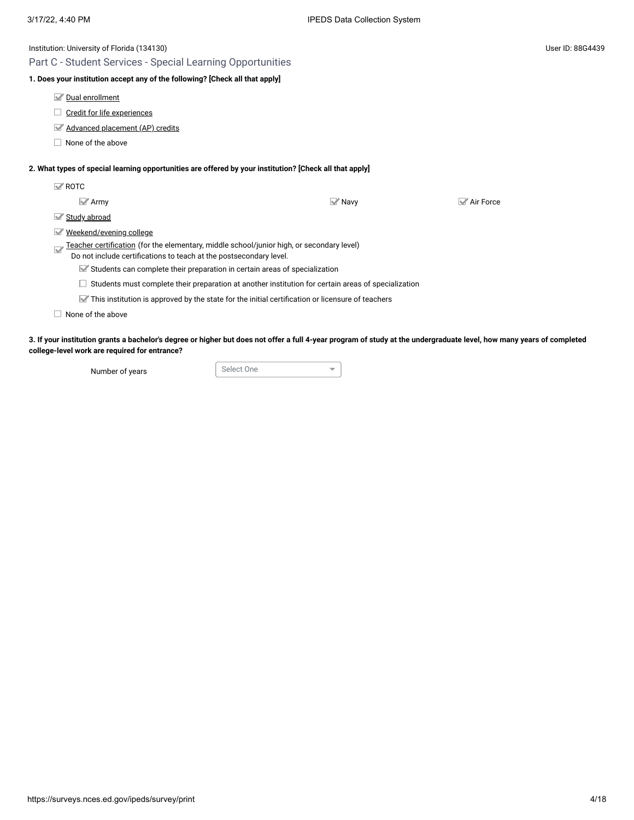| Institution: University of Florida (134130)                                                                                                                          |                            |           | User ID: 88G4439 |
|----------------------------------------------------------------------------------------------------------------------------------------------------------------------|----------------------------|-----------|------------------|
| Part C - Student Services - Special Learning Opportunities                                                                                                           |                            |           |                  |
| 1. Does your institution accept any of the following? [Check all that apply]                                                                                         |                            |           |                  |
| Dual enrollment                                                                                                                                                      |                            |           |                  |
| Credit for life experiences                                                                                                                                          |                            |           |                  |
| Advanced placement (AP) credits                                                                                                                                      |                            |           |                  |
| None of the above                                                                                                                                                    |                            |           |                  |
| 2. What types of special learning opportunities are offered by your institution? [Check all that apply]                                                              |                            |           |                  |
| $\mathbb{Z}$ ROTC                                                                                                                                                    |                            |           |                  |
| $\mathbb{Z}$ Army                                                                                                                                                    | $\blacktriangleright$ Navy | Air Force |                  |
| Study abroad<br>M                                                                                                                                                    |                            |           |                  |
| Weekend/evening college<br>M                                                                                                                                         |                            |           |                  |
| Teacher certification (for the elementary, middle school/junior high, or secondary level)<br>Q<br>Do not include certifications to teach at the postsecondary level. |                            |           |                  |
| Students can complete their preparation in certain areas of specialization                                                                                           |                            |           |                  |
| Students must complete their preparation at another institution for certain areas of specialization                                                                  |                            |           |                  |
| $\blacktriangleright$ This institution is approved by the state for the initial certification or licensure of teachers                                               |                            |           |                  |
| None of the above                                                                                                                                                    |                            |           |                  |
|                                                                                                                                                                      |                            |           |                  |

**3. If your institution grants a bachelor's degree or higher but does not offer a full 4-year program of study at the undergraduate level, how many years of completed college-level work are required for entrance?**

Number of years Select One

 $\overline{\mathbf{v}}$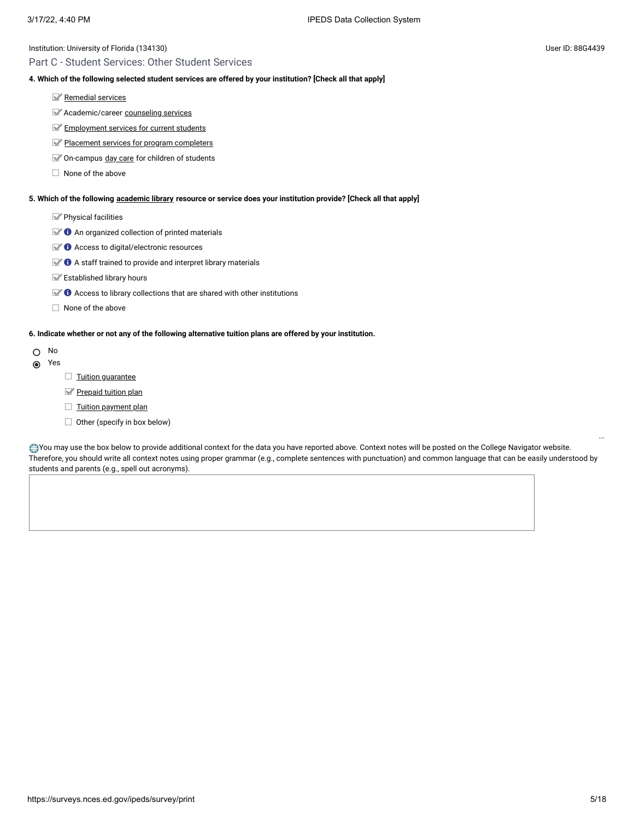# Part C - Student Services: Other Student Services

# **4. Which of the following selected student services are offered by your institution? [Check all that apply]**

- [Remedial](javascript:openglossary(547)) services
- Academic/career [counseling](javascript:openglossary(149)) services
- **[Employment](javascript:openglossary(195)) services for current students**
- Placement services for [program completers](javascript:openglossary(479))
- On-campus day [care](javascript:openglossary(165)) for children of students
- $\Box$  None of the above

# **5. Which of the following [academic library](javascript:openglossary(1015)) resource or service does your institution provide? [Check all that apply]**

Physical facilities

- $\blacktriangleright$  **O** An organized collection of printed materials
- $\mathbb{Z}$   $\bullet$  Access to digital/electronic resources
- $\blacktriangleright$   $\blacklozenge$  A staff trained to provide and interpret library materials
- Established library hours
- $\mathbb{R}$   $\bullet$  Access to library collections that are shared with other institutions
- $\Box$  None of the above

# **6. Indicate whether or not any of the following alternative tuition plans are offered by your institution.**

- O No
- Yes
- $\Box$  Tuition quarantee
- [Prepaid tuition plan](javascript:openglossary(950))
- $\Box$  [Tuition payment](javascript:openglossary(951)) plan
- $\Box$  Other (specify in box below)

You may use the box below to provide additional context for the data you have reported above. Context notes will be posted on the College Navigator website. Therefore, you should write all context notes using proper grammar (e.g., complete sentences with punctuation) and common language that can be easily understood by students and parents (e.g., spell out acronyms).

...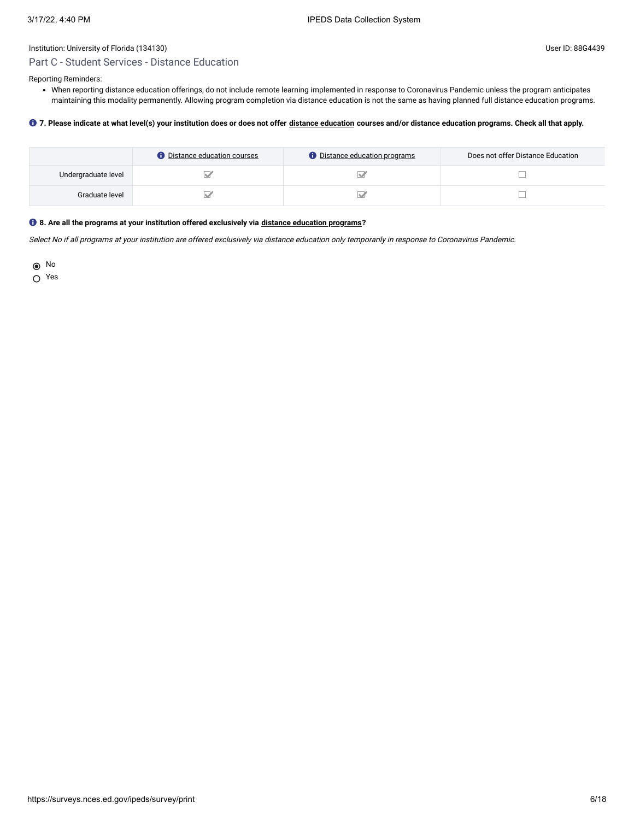# Part C - Student Services - Distance Education

Reporting Reminders:

When reporting distance education offerings, do not include remote learning implemented in response to Coronavirus Pandemic unless the program anticipates maintaining this modality permanently. Allowing program completion via distance education is not the same as having planned full distance education programs.

### **7. Please indicate at what level(s) your institution does or does not offer [distance education](javascript:openglossary(713)) courses and/or distance education programs. Check all that apply.**

|                     | <b>O</b> Distance education courses | <b><i>O</i></b> Distance education programs | Does not offer Distance Education |
|---------------------|-------------------------------------|---------------------------------------------|-----------------------------------|
| Undergraduate level |                                     |                                             |                                   |
| Graduate level      |                                     |                                             |                                   |

# **8. Are all the programs at your institution offered exclusively via [distance education programs](javascript:openglossary(977))?**

Select No if all programs at your institution are offered exclusively via distance education only temporarily in response to Coronavirus Pandemic.

No

Yes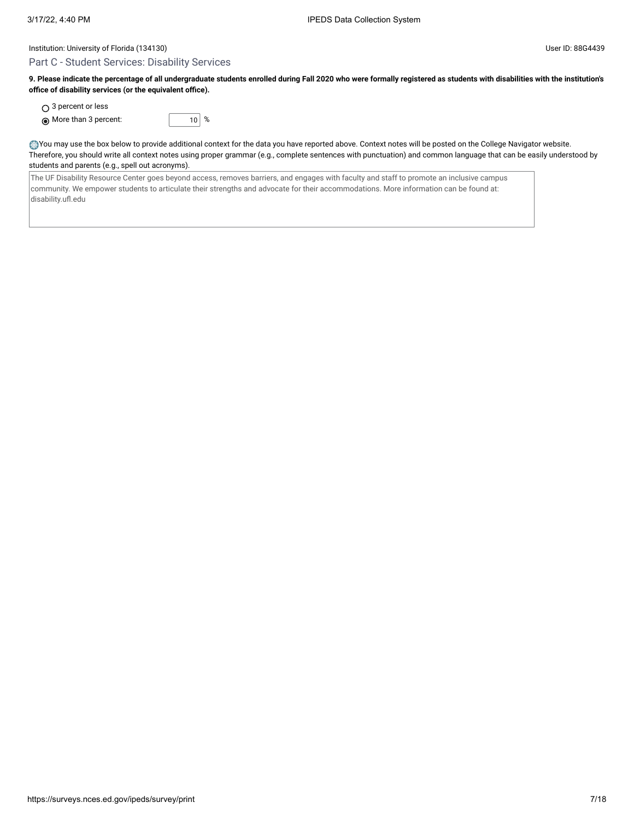### Part C - Student Services: Disability Services

**9. Please indicate the percentage of all undergraduate students enrolled during Fall 2020 who were formally registered as students with disabilities with the institution's office of disability services (or the equivalent office).**

○ 3 percent or less

 $\odot$  More than 3 percent:  $\qquad 10 \mid %$ 

You may use the box below to provide additional context for the data you have reported above. Context notes will be posted on the College Navigator website. Therefore, you should write all context notes using proper grammar (e.g., complete sentences with punctuation) and common language that can be easily understood by students and parents (e.g., spell out acronyms).

The UF Disability Resource Center goes beyond access, removes barriers, and engages with faculty and staff to promote an inclusive campus community. We empower students to articulate their strengths and advocate for their accommodations. More information can be found at: disability.ufl.edu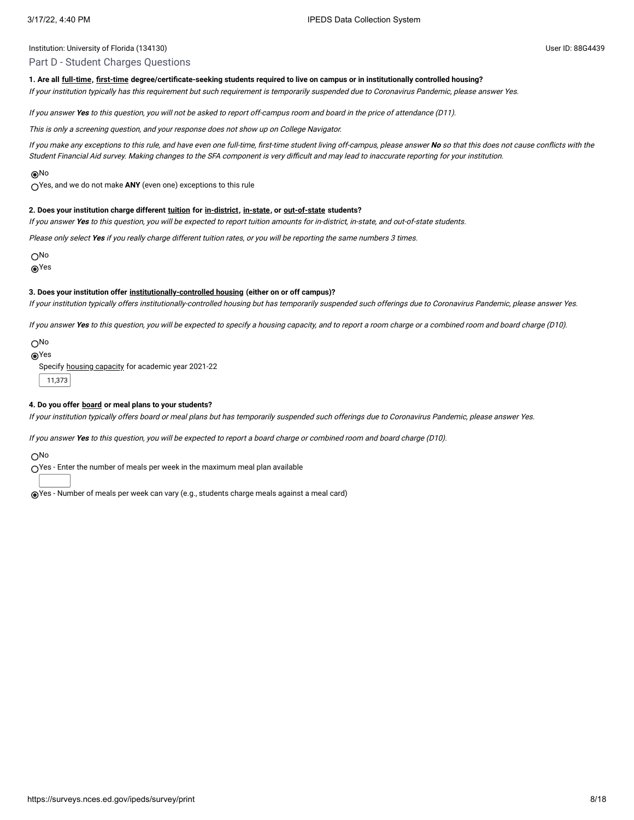### Part D - Student Charges Questions

#### **1. Are all [full-time,](javascript:openglossary(259)) [first-time](javascript:openglossary(241)) degree/certificate-seeking students required to live on campus or in institutionally controlled housing?**

If your institution typically has this requirement but such requirement is temporarily suspended due to Coronavirus Pandemic, please answer Yes.

If you answer **Yes** to this question, you will not be asked to report off-campus room and board in the price of attendance (D11).

This is only <sup>a</sup> screening question, and your response does not show up on College Navigator.

If you make any exceptions to this rule, and have even one full-time, first-time student living off-campus, please answer **No** so that this does not cause conflicts with the Student Financial Aid survey. Making changes to the SFA component is very difficult and may lead to inaccurate reporting for your institution.

#### No

Yes, and we do not make **ANY** (even one) exceptions to this rule

#### **2. Does your institution charge different [tuition](javascript:openglossary(848)) for [in-district](javascript:openglossary(303)), [in-state,](javascript:openglossary(309)) or [out-of-state](javascript:openglossary(463)) students?**

If you answer **Yes** to this question, you will be expected to report tuition amounts for in-district, in-state, and out-of-state students.

Please only select **Yes** if you really charge different tuition rates, or you will be reporting the same numbers 3 times.

No

**®Yes** 

#### **3. Does your institution offer [institutionally-controlled housing](javascript:openglossary(970)) (either on or off campus)?**

If your institution typically offers institutionally-controlled housing but has temporarily suspended such offerings due to Coronavirus Pandemic, please answer Yes.

If you answer **Yes** to this question, you will be expected to specify <sup>a</sup> housing capacity, and to report <sup>a</sup> room charge or <sup>a</sup> combined room and board charge (D10).

No

Yes

Specify housing [capacity](javascript:openglossary(185)) for academic year 2021-22

11,373

#### **4. Do you offer [board](javascript:openglossary(87)) or meal plans to your students?**

If your institution typically offers board or meal plans but has temporarily suspended such offerings due to Coronavirus Pandemic, please answer Yes.

If you answer **Yes** to this question, you will be expected to report <sup>a</sup> board charge or combined room and board charge (D10).

O<sub>No</sub>

Yes - Enter the number of meals per week in the maximum meal plan available

Yes - Number of meals per week can vary (e.g., students charge meals against a meal card)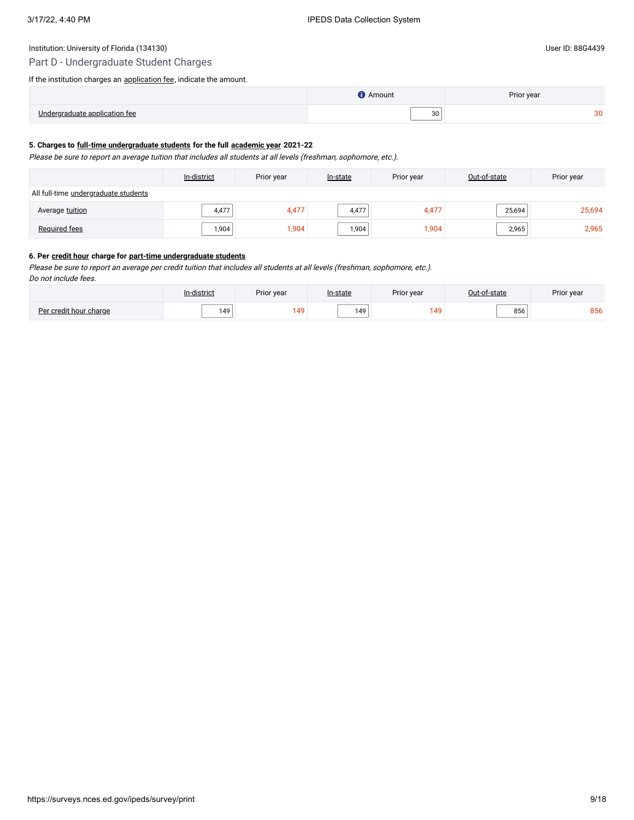# Part D - Undergraduate Student Charges

If the institution charges an **application fee**, indicate the amount.

|      | Amount              | Prior year |
|------|---------------------|------------|
| - Ir | $\sim$ $\sim$<br>ັບ |            |

### **5. Charges to [full-time undergraduate students](javascript:openglossary(259)) for the full [academic year](javascript:openglossary(19)) 2021-22**

Please be sure to report an average tuition that includes all students at all levels (freshman, sophomore, etc.).

|                                      | In-district | Prior year | In-state | Prior year | Out-of-state | Prior year |
|--------------------------------------|-------------|------------|----------|------------|--------------|------------|
| All full-time undergraduate students |             |            |          |            |              |            |
| Average tuition                      | 4,477       | 4,477      | 4,477    | 4,477      | 25,694       | 25,694     |
| Required fees                        | 1,904       | 1,904      | 1,904    | 1,904      | 2,965        | 2,965      |

### **6. Per [credit hour](javascript:openglossary(155)) charge for [part-time undergraduate students](javascript:openglossary(469))**

Please be sure to report an average per credit tuition that includes all students at all levels (freshman, sophomore, etc.).

Do not include fees.

|                        | In-district | Prior year | In-state | Prior year     | Out-of-state | Prior year |
|------------------------|-------------|------------|----------|----------------|--------------|------------|
| Per credit hour charge | 149         | 149        | 149      | $\overline{A}$ | טטע          | 856        |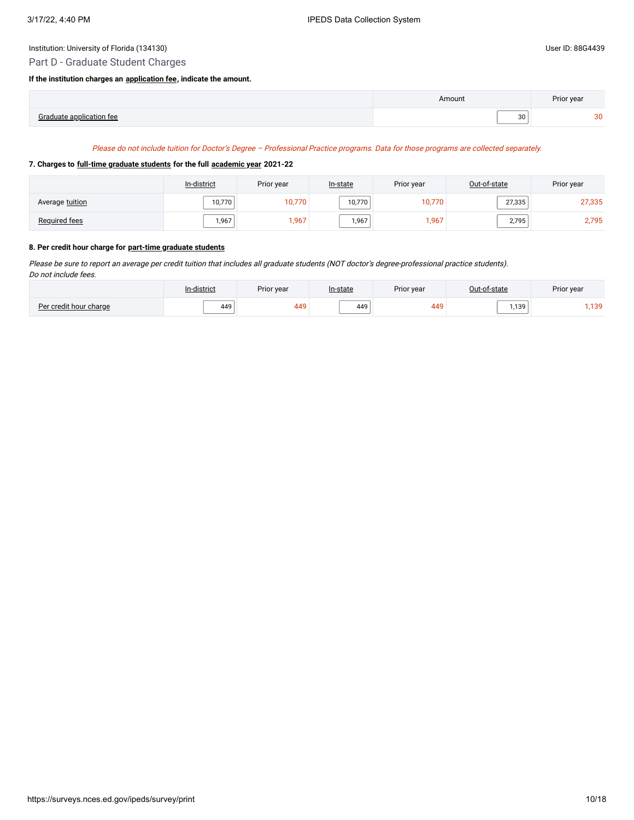# Part D - Graduate Student Charges

#### **If the institution charges an [application fee](javascript:openglossary(47)), indicate the amount.**

|                             | Amount | Prior year |
|-----------------------------|--------|------------|
| $P$ roduoto<br>$\mathbf{t}$ | 30     | ാല<br>ື    |

### Please do not include tuition for Doctor's Degree – Professional Practice programs. Data for those programs are collected separately.

### **7. Charges to [full-time graduate students](javascript:openglossary(259)) for the full [academic year](javascript:openglossary(19)) 2021-22**

|                 | In-district | Prior year | In-state | Prior year | Out-of-state | Prior year |
|-----------------|-------------|------------|----------|------------|--------------|------------|
| Average tuition | 10,770      | 10,770     | 10,770   | 10,770     | 27,335       | 27,335     |
| Required fees   | 1,967       | .967       | 1,967    | 1,967      | 2,795        | 2,795      |

# **8. Per credit hour charge for [part-time graduate students](javascript:openglossary(469))**

Please be sure to report an average per credit tuition that includes all graduate students (NOT doctor's degree-professional practice students). Do not include fees.

|              | $\cdots$<br>-district | Prior year     | In-state | Prior year |                  | Prior year |
|--------------|-----------------------|----------------|----------|------------|------------------|------------|
| $Der$ crodit | 449                   | $\overline{1}$ | 449      | 449        | 139 <sub>1</sub> | ,139       |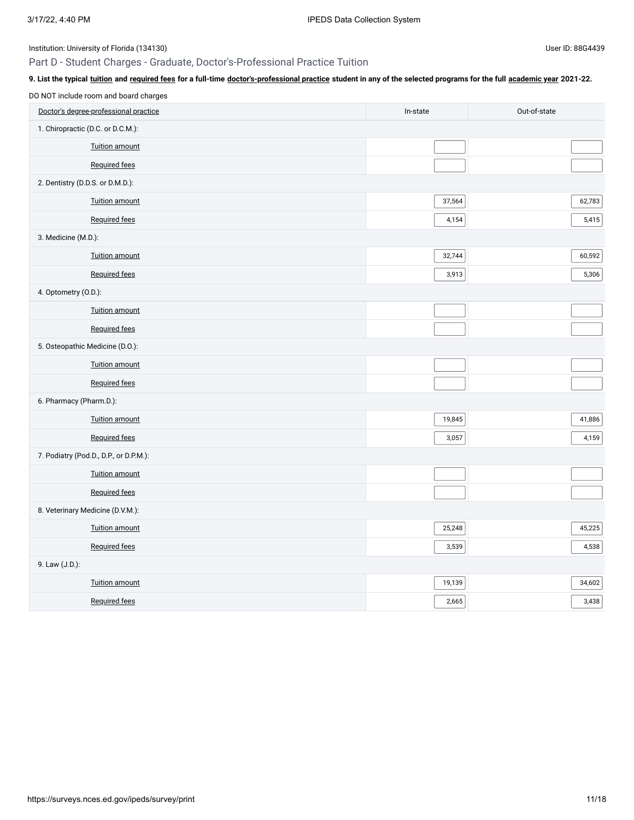# Part D - Student Charges - Graduate, Doctor's-Professional Practice Tuition

| 9. List the typical tuition and required fees for a full-time doctor's-professional practice student in any of the selected programs for the full academic year 2021-22. |          |              |
|--------------------------------------------------------------------------------------------------------------------------------------------------------------------------|----------|--------------|
| DO NOT include room and board charges                                                                                                                                    |          |              |
| Doctor's degree-professional practice                                                                                                                                    | In-state | Out-of-state |
| 1. Chiropractic (D.C. or D.C.M.):                                                                                                                                        |          |              |
| Tuition amount                                                                                                                                                           |          |              |
| <b>Required fees</b>                                                                                                                                                     |          |              |
| 2. Dentistry (D.D.S. or D.M.D.):                                                                                                                                         |          |              |
| Tuition amount                                                                                                                                                           | 37,564   | 62,783       |
| <b>Required fees</b>                                                                                                                                                     | 4,154    | 5,415        |
| 3. Medicine (M.D.):                                                                                                                                                      |          |              |
| Tuition amount                                                                                                                                                           | 32,744   | 60,592       |
| <b>Required fees</b>                                                                                                                                                     | 3,913    | 5,306        |
| 4. Optometry (O.D.):                                                                                                                                                     |          |              |
| <b>Tuition amount</b>                                                                                                                                                    |          |              |
| Required fees                                                                                                                                                            |          |              |
| 5. Osteopathic Medicine (D.O.):                                                                                                                                          |          |              |
| <b>Tuition amount</b>                                                                                                                                                    |          |              |
| <b>Required fees</b>                                                                                                                                                     |          |              |
| 6. Pharmacy (Pharm.D.):                                                                                                                                                  |          |              |
| Tuition amount                                                                                                                                                           | 19,845   | 41,886       |
| <b>Required fees</b>                                                                                                                                                     | 3,057    | 4,159        |
| 7. Podiatry (Pod.D., D.P., or D.P.M.):                                                                                                                                   |          |              |
| Tuition amount                                                                                                                                                           |          |              |
| Required fees                                                                                                                                                            |          |              |
| 8. Veterinary Medicine (D.V.M.):                                                                                                                                         |          |              |
| <b>Tuition amount</b>                                                                                                                                                    | 25,248   | 45,225       |
| <b>Required fees</b>                                                                                                                                                     | 3,539    | 4,538        |
| 9. Law (J.D.):                                                                                                                                                           |          |              |
| <b>Tuition amount</b>                                                                                                                                                    | 19,139   | 34,602       |
| <b>Required fees</b>                                                                                                                                                     | 2,665    | 3,438        |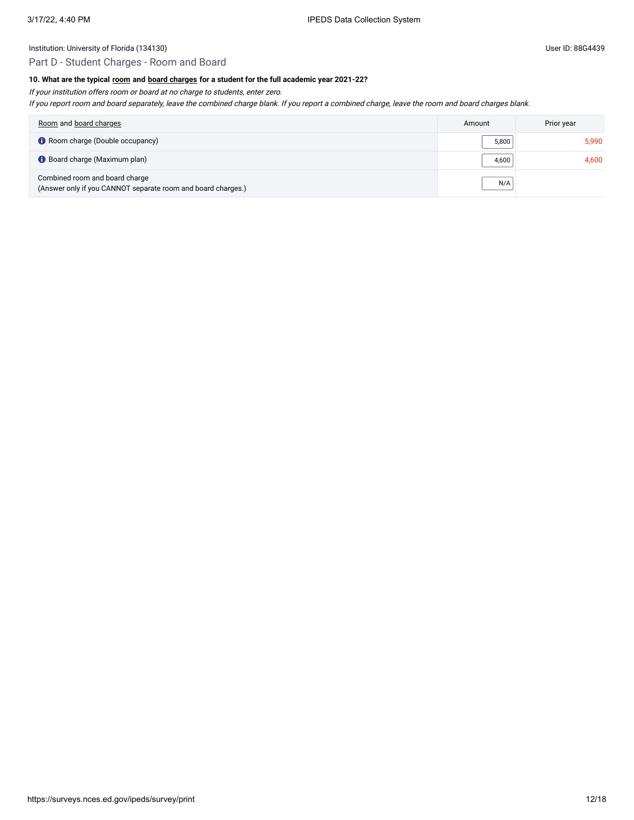# Part D - Student Charges - Room and Board

# **10. What are the typical [room](javascript:openglossary(565)) and [board charges](javascript:openglossary(87)) for a student for the full academic year 2021-22?**

If your institution offers room or board at no charge to students, enter zero.

If you report room and board separately, leave the combined charge blank. If you report <sup>a</sup> combined charge, leave the room and board charges blank.

| Room and board charges                                                                         | Amount | Prior year |
|------------------------------------------------------------------------------------------------|--------|------------|
| Room charge (Double occupancy)                                                                 | 5,800  | 5.990      |
| Board charge (Maximum plan)                                                                    | 4.600  | 4.600      |
| Combined room and board charge<br>(Answer only if you CANNOT separate room and board charges.) | N/A    |            |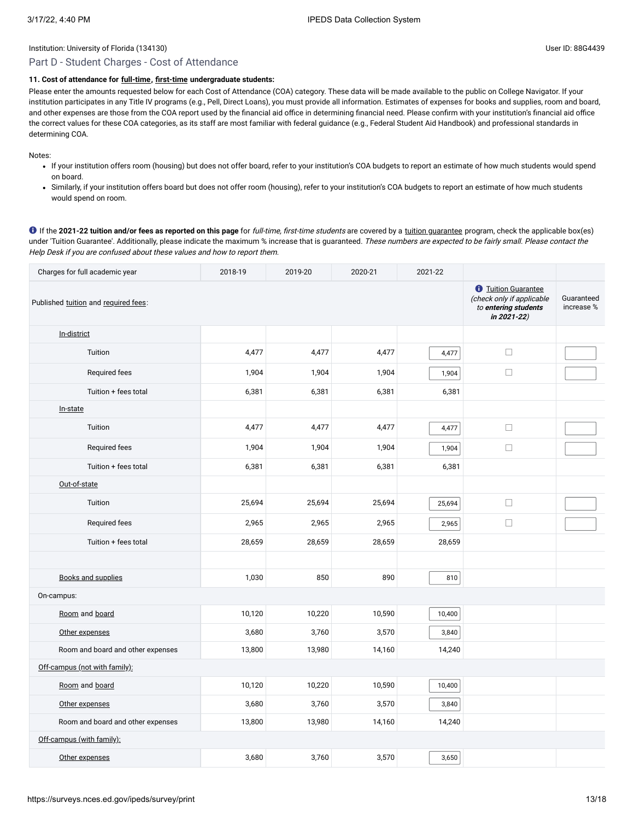#### Institution: University of Florida (134130) Charles and the University of Florida (134130)

# Part D - Student Charges - Cost of Attendance

# **11. Cost of attendance for [full-time](javascript:openglossary(259)), [first-time](javascript:openglossary(241)) undergraduate students:**

Please enter the amounts requested below for each Cost of Attendance (COA) category. These data will be made available to the public on College Navigator. If your institution participates in any Title IV programs (e.g., Pell, Direct Loans), you must provide all information. Estimates of expenses for books and supplies, room and board, and other expenses are those from the COA report used by the financial aid office in determining financial need. Please confirm with your institution's financial aid office the correct values for these COA categories, as its staff are most familiar with federal guidance (e.g., Federal Student Aid Handbook) and professional standards in determining COA.

Notes:

- If your institution offers room (housing) but does not offer board, refer to your institution's COA budgets to report an estimate of how much students would spend on board.
- Similarly, if your institution offers board but does not offer room (housing), refer to your institution's COA budgets to report an estimate of how much students would spend on room.

**O** If the 2021-22 tuition and/or fees as reported on this page for full-time, first-time students are covered by a [tuition guarantee](javascript:openglossary(949)) program, check the applicable box(es) under 'Tuition Guarantee'. Additionally, please indicate the maximum % increase that is guaranteed. These numbers are expected to be fairly small. Please contact the Help Desk if you are confused about these values and how to report them.

| Charges for full academic year       | 2018-19 | 2019-20 | 2020-21 | 2021-22 |                                                                                                       |                          |
|--------------------------------------|---------|---------|---------|---------|-------------------------------------------------------------------------------------------------------|--------------------------|
| Published tuition and required fees: |         |         |         |         | <b><i>O</i></b> Tuition Guarantee<br>(check only if applicable<br>to entering students<br>in 2021-22) | Guaranteed<br>increase % |
| In-district                          |         |         |         |         |                                                                                                       |                          |
| Tuition                              | 4,477   | 4,477   | 4,477   | 4,477   | $\Box$                                                                                                |                          |
| Required fees                        | 1,904   | 1,904   | 1,904   | 1,904   | $\Box$                                                                                                |                          |
| Tuition + fees total                 | 6,381   | 6,381   | 6,381   | 6,381   |                                                                                                       |                          |
| In-state                             |         |         |         |         |                                                                                                       |                          |
| Tuition                              | 4,477   | 4,477   | 4,477   | 4,477   | $\Box$                                                                                                |                          |
| Required fees                        | 1,904   | 1,904   | 1,904   | 1,904   | $\Box$                                                                                                |                          |
| Tuition + fees total                 | 6,381   | 6,381   | 6,381   | 6,381   |                                                                                                       |                          |
| Out-of-state                         |         |         |         |         |                                                                                                       |                          |
| Tuition                              | 25,694  | 25,694  | 25,694  | 25,694  | $\Box$                                                                                                |                          |
| Required fees                        | 2,965   | 2,965   | 2,965   | 2,965   | $\Box$                                                                                                |                          |
| Tuition + fees total                 | 28,659  | 28,659  | 28,659  | 28,659  |                                                                                                       |                          |
|                                      |         |         |         |         |                                                                                                       |                          |
| <b>Books and supplies</b>            | 1,030   | 850     | 890     | 810     |                                                                                                       |                          |
| On-campus:                           |         |         |         |         |                                                                                                       |                          |
| Room and board                       | 10,120  | 10,220  | 10,590  | 10,400  |                                                                                                       |                          |
| Other expenses                       | 3,680   | 3,760   | 3,570   | 3,840   |                                                                                                       |                          |
| Room and board and other expenses    | 13,800  | 13,980  | 14,160  | 14,240  |                                                                                                       |                          |
| Off-campus (not with family):        |         |         |         |         |                                                                                                       |                          |
| Room and board                       | 10,120  | 10,220  | 10,590  | 10,400  |                                                                                                       |                          |
| Other expenses                       | 3,680   | 3,760   | 3,570   | 3,840   |                                                                                                       |                          |
| Room and board and other expenses    | 13,800  | 13,980  | 14,160  | 14,240  |                                                                                                       |                          |
| Off-campus (with family):            |         |         |         |         |                                                                                                       |                          |
| Other expenses                       | 3,680   | 3,760   | 3,570   | 3,650   |                                                                                                       |                          |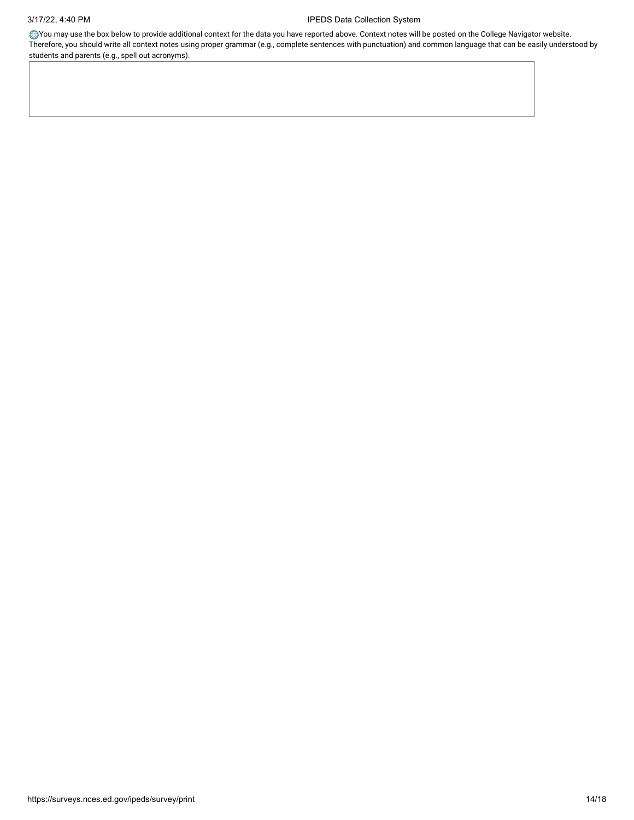You may use the box below to provide additional context for the data you have reported above. Context notes will be posted on the College Navigator website. Therefore, you should write all context notes using proper grammar (e.g., complete sentences with punctuation) and common language that can be easily understood by students and parents (e.g., spell out acronyms).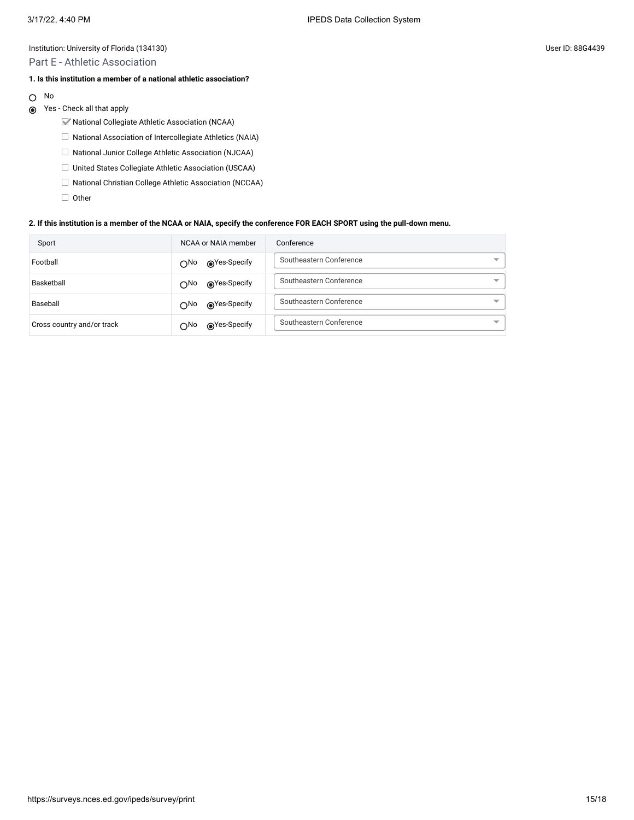Part E - Athletic Association

### **1. Is this institution a member of a national athletic association?**

- No  $\circlearrowright$
- Yes Check all that apply
	- National Collegiate Athletic Association (NCAA)
	- $\Box$  National Association of Intercollegiate Athletics (NAIA)
	- □ National Junior College Athletic Association (NJCAA)
	- □ United States Collegiate Athletic Association (USCAA)
	- $\Box$  National Christian College Athletic Association (NCCAA)
	- $\Box$  Other

#### **2. If this institution is a member of the NCAA or NAIA, specify the conference FOR EACH SPORT using the pull-down menu.**

| Sport                      | NCAA or NAIA member          | Conference              |
|----------------------------|------------------------------|-------------------------|
| Football                   | ⊚Yes-Specify<br>$\bigcap$ No | Southeastern Conference |
| Basketball                 | ⊚Yes-Specify<br>$\bigcap$ No | Southeastern Conference |
| Baseball                   | ⊚Yes-Specify<br>$\bigcap$ No | Southeastern Conference |
| Cross country and/or track | ⊚Yes-Specify<br>$\bigcap$ No | Southeastern Conference |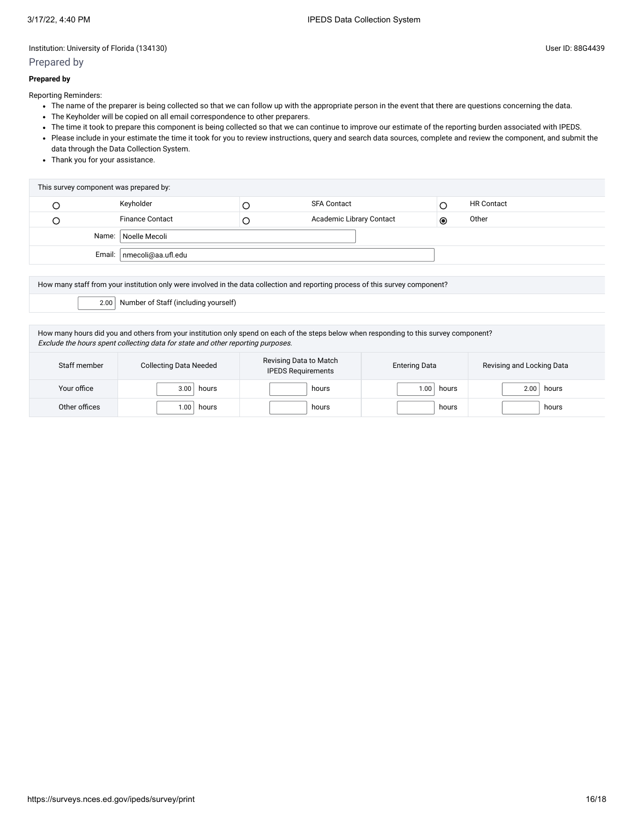# Prepared by

### **Prepared by**

Reporting Reminders:

- The name of the preparer is being collected so that we can follow up with the appropriate person in the event that there are questions concerning the data.
- The Keyholder will be copied on all email correspondence to other preparers.
- The time it took to prepare this component is being collected so that we can continue to improve our estimate of the reporting burden associated with IPEDS.
- Please include in your estimate the time it took for you to review instructions, query and search data sources, complete and review the component, and submit the data through the Data Collection System.
- Thank you for your assistance.

| This survey component was prepared by: |                        |  |                          |           |                   |  |
|----------------------------------------|------------------------|--|--------------------------|-----------|-------------------|--|
|                                        | Keyholder              |  | <b>SFA Contact</b>       |           | <b>HR Contact</b> |  |
|                                        | <b>Finance Contact</b> |  | Academic Library Contact | $\bullet$ | Other             |  |
| Name:   Noelle Mecoli                  |                        |  |                          |           |                   |  |
| Email:   nmecoli@aa.ufl.edu            |                        |  |                          |           |                   |  |

How many staff from your institution only were involved in the data collection and reporting process of this survey component?

2.00 Number of Staff (including yourself)

How many hours did you and others from your institution only spend on each of the steps below when responding to this survey component? Exclude the hours spent collecting data for state and other reporting purposes.

| Staff member  | <b>Collecting Data Needed</b> | Revising Data to Match<br><b>IPEDS Requirements</b> | <b>Entering Data</b> | Revising and Locking Data |
|---------------|-------------------------------|-----------------------------------------------------|----------------------|---------------------------|
| Your office   | 3.00<br>hours                 | hours                                               | hours<br>1.00        | hours<br>2.00             |
| Other offices | .00<br>hours                  | hours                                               | hours                | hours                     |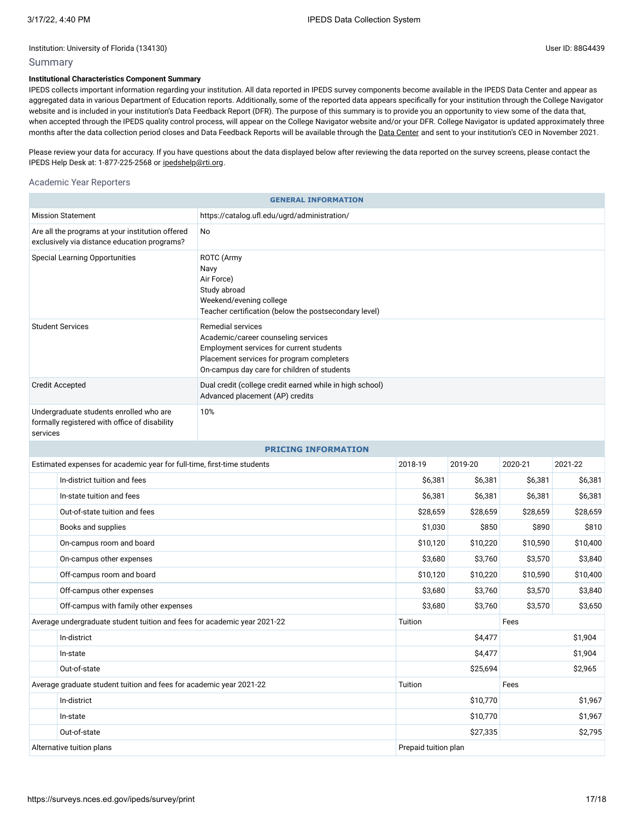# Summary

### **Institutional Characteristics Component Summary**

IPEDS collects important information regarding your institution. All data reported in IPEDS survey components become available in the IPEDS Data Center and appear as aggregated data in various Department of Education reports. Additionally, some of the reported data appears specifically for your institution through the College Navigator website and is included in your institution's Data Feedback Report (DFR). The purpose of this summary is to provide you an opportunity to view some of the data that, when accepted through the IPEDS quality control process, will appear on the College Navigator website and/or your DFR. College Navigator is updated approximately three months after the data collection period closes and Data Feedback Reports will be available through the Data [Center](https://nces.ed.gov/ipeds/use-the-data) and sent to your institution's CEO in November 2021.

Please review your data for accuracy. If you have questions about the data displayed below after reviewing the data reported on the survey screens, please contact the IPEDS Help Desk at: 1-877-225-2568 or [ipedshelp@rti.org.](mailto:ipedshelp@rti.org)

#### Academic Year Reporters

| <b>GENERAL INFORMATION</b>                                                                                            |                                                                                                             |                                                                                                                                                                                                  |                     |          |          |          |  |
|-----------------------------------------------------------------------------------------------------------------------|-------------------------------------------------------------------------------------------------------------|--------------------------------------------------------------------------------------------------------------------------------------------------------------------------------------------------|---------------------|----------|----------|----------|--|
| <b>Mission Statement</b><br>https://catalog.ufl.edu/ugrd/administration/                                              |                                                                                                             |                                                                                                                                                                                                  |                     |          |          |          |  |
| Are all the programs at your institution offered<br>No<br>exclusively via distance education programs?                |                                                                                                             |                                                                                                                                                                                                  |                     |          |          |          |  |
| <b>Special Learning Opportunities</b><br>ROTC (Army<br>Navy<br>Air Force)<br>Study abroad                             |                                                                                                             | Weekend/evening college<br>Teacher certification (below the postsecondary level)                                                                                                                 |                     |          |          |          |  |
| <b>Student Services</b>                                                                                               |                                                                                                             | Remedial services<br>Academic/career counseling services<br>Employment services for current students<br>Placement services for program completers<br>On-campus day care for children of students |                     |          |          |          |  |
| Dual credit (college credit earned while in high school)<br><b>Credit Accepted</b><br>Advanced placement (AP) credits |                                                                                                             |                                                                                                                                                                                                  |                     |          |          |          |  |
|                                                                                                                       | Undergraduate students enrolled who are<br>10%<br>formally registered with office of disability<br>services |                                                                                                                                                                                                  |                     |          |          |          |  |
|                                                                                                                       |                                                                                                             | <b>PRICING INFORMATION</b>                                                                                                                                                                       |                     |          |          |          |  |
| Estimated expenses for academic year for full-time, first-time students                                               |                                                                                                             | 2018-19                                                                                                                                                                                          | 2019-20             | 2020-21  | 2021-22  |          |  |
| In-district tuition and fees                                                                                          |                                                                                                             |                                                                                                                                                                                                  | \$6,381             | \$6,381  | \$6,381  | \$6,381  |  |
|                                                                                                                       | In-state tuition and fees                                                                                   |                                                                                                                                                                                                  | \$6,381             | \$6,381  | \$6,381  | \$6,381  |  |
|                                                                                                                       | Out-of-state tuition and fees                                                                               |                                                                                                                                                                                                  | \$28,659            | \$28,659 | \$28,659 | \$28,659 |  |
|                                                                                                                       | Books and supplies                                                                                          |                                                                                                                                                                                                  | \$1,030             | \$850    | \$890    | \$810    |  |
|                                                                                                                       | On-campus room and board                                                                                    |                                                                                                                                                                                                  | \$10,120            | \$10,220 | \$10,590 | \$10,400 |  |
|                                                                                                                       | On-campus other expenses                                                                                    |                                                                                                                                                                                                  | \$3,680             | \$3,760  | \$3,570  | \$3,840  |  |
|                                                                                                                       | Off-campus room and board                                                                                   |                                                                                                                                                                                                  | \$10,120            | \$10,220 | \$10,590 | \$10,400 |  |
|                                                                                                                       | Off-campus other expenses                                                                                   |                                                                                                                                                                                                  | \$3,680             | \$3,760  | \$3,570  | \$3,840  |  |
| Off-campus with family other expenses                                                                                 |                                                                                                             | \$3,680                                                                                                                                                                                          | \$3,760             | \$3,570  | \$3,650  |          |  |
| Average undergraduate student tuition and fees for academic year 2021-22                                              |                                                                                                             | Tuition                                                                                                                                                                                          |                     | Fees     |          |          |  |
| In-district                                                                                                           |                                                                                                             | \$4,477                                                                                                                                                                                          |                     | \$1,904  |          |          |  |
|                                                                                                                       | In-state                                                                                                    |                                                                                                                                                                                                  | \$4,477             |          | \$1,904  |          |  |
| Out-of-state                                                                                                          |                                                                                                             | \$25,694                                                                                                                                                                                         |                     | \$2,965  |          |          |  |
| Average graduate student tuition and fees for academic year 2021-22                                                   |                                                                                                             | Tuition                                                                                                                                                                                          |                     | Fees     |          |          |  |
| In-district                                                                                                           |                                                                                                             | \$10,770                                                                                                                                                                                         |                     | \$1,967  |          |          |  |
|                                                                                                                       | In-state                                                                                                    |                                                                                                                                                                                                  | \$10,770            |          | \$1,967  |          |  |
|                                                                                                                       | Out-of-state                                                                                                |                                                                                                                                                                                                  | \$27,335<br>\$2,795 |          |          |          |  |
| Alternative tuition plans                                                                                             |                                                                                                             | Prepaid tuition plan                                                                                                                                                                             |                     |          |          |          |  |